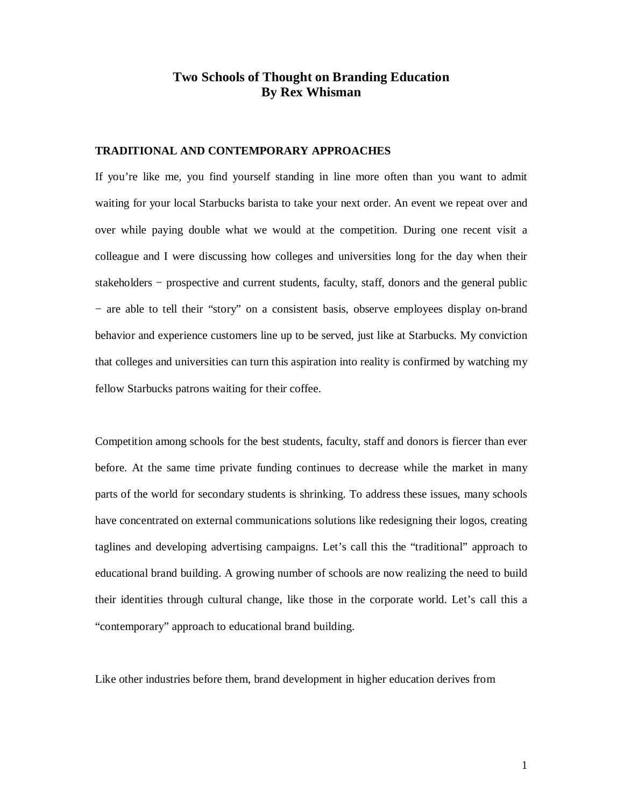## **Two Schools of Thought on Branding Education By Rex Whisman**

## **TRADITIONAL AND CONTEMPORARY APPROACHES**

If you're like me, you find yourself standing in line more often than you want to admit waiting for your local Starbucks barista to take your next order. An event we repeat over and over while paying double what we would at the competition. During one recent visit a colleague and I were discussing how colleges and universities long for the day when their stakeholders – prospective and current students, faculty, staff, donors and the general public − are able to tell their "story" on a consistent basis, observe employees display on-brand behavior and experience customers line up to be served, just like at Starbucks. My conviction that colleges and universities can turn this aspiration into reality is confirmed by watching my fellow Starbucks patrons waiting for their coffee.

Competition among schools for the best students, faculty, staff and donors is fiercer than ever before. At the same time private funding continues to decrease while the market in many parts of the world for secondary students is shrinking. To address these issues, many schools have concentrated on external communications solutions like redesigning their logos, creating taglines and developing advertising campaigns. Let's call this the "traditional" approach to educational brand building. A growing number of schools are now realizing the need to build their identities through cultural change, like those in the corporate world. Let's call this a "contemporary" approach to educational brand building.

Like other industries before them, brand development in higher education derives from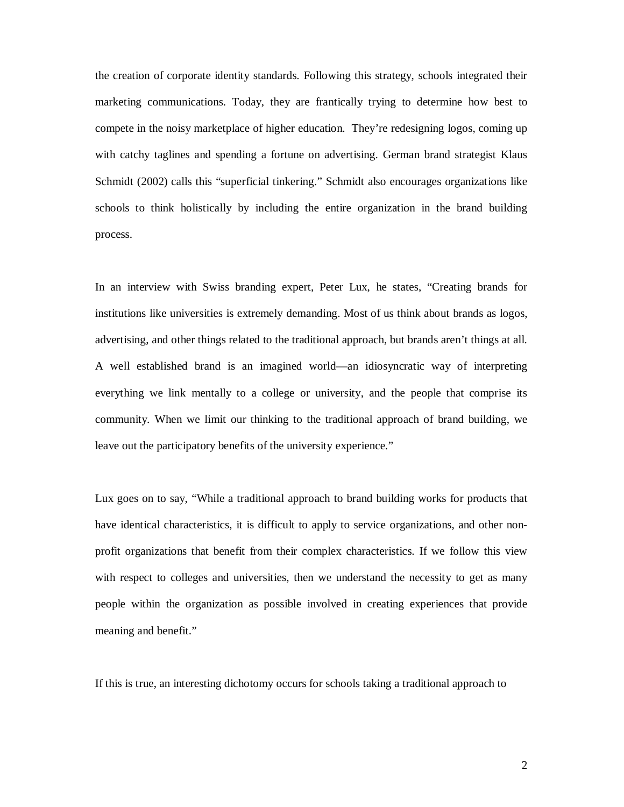the creation of corporate identity standards. Following this strategy, schools integrated their marketing communications. Today, they are frantically trying to determine how best to compete in the noisy marketplace of higher education. They're redesigning logos, coming up with catchy taglines and spending a fortune on advertising. German brand strategist Klaus Schmidt (2002) calls this "superficial tinkering." Schmidt also encourages organizations like schools to think holistically by including the entire organization in the brand building process.

In an interview with Swiss branding expert, Peter Lux, he states, "Creating brands for institutions like universities is extremely demanding. Most of us think about brands as logos, advertising, and other things related to the traditional approach, but brands aren't things at all. A well established brand is an imagined world—an idiosyncratic way of interpreting everything we link mentally to a college or university, and the people that comprise its community. When we limit our thinking to the traditional approach of brand building, we leave out the participatory benefits of the university experience."

Lux goes on to say, "While a traditional approach to brand building works for products that have identical characteristics, it is difficult to apply to service organizations, and other nonprofit organizations that benefit from their complex characteristics. If we follow this view with respect to colleges and universities, then we understand the necessity to get as many people within the organization as possible involved in creating experiences that provide meaning and benefit."

If this is true, an interesting dichotomy occurs for schools taking a traditional approach to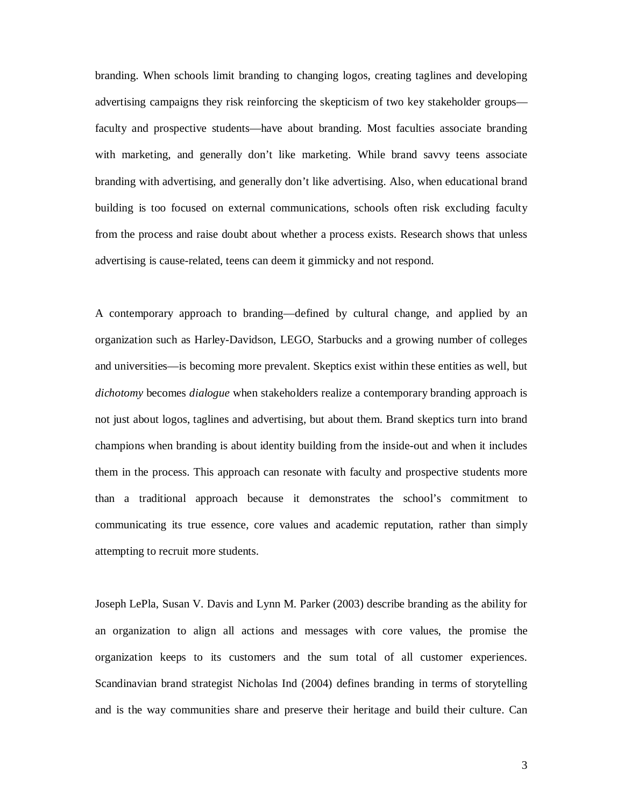branding. When schools limit branding to changing logos, creating taglines and developing advertising campaigns they risk reinforcing the skepticism of two key stakeholder groups faculty and prospective students—have about branding. Most faculties associate branding with marketing, and generally don't like marketing. While brand savvy teens associate branding with advertising, and generally don't like advertising. Also, when educational brand building is too focused on external communications, schools often risk excluding faculty from the process and raise doubt about whether a process exists. Research shows that unless advertising is cause-related, teens can deem it gimmicky and not respond.

A contemporary approach to branding—defined by cultural change, and applied by an organization such as Harley-Davidson, LEGO, Starbucks and a growing number of colleges and universities—is becoming more prevalent. Skeptics exist within these entities as well, but *dichotomy* becomes *dialogue* when stakeholders realize a contemporary branding approach is not just about logos, taglines and advertising, but about them. Brand skeptics turn into brand champions when branding is about identity building from the inside-out and when it includes them in the process. This approach can resonate with faculty and prospective students more than a traditional approach because it demonstrates the school's commitment to communicating its true essence, core values and academic reputation, rather than simply attempting to recruit more students.

Joseph LePla, Susan V. Davis and Lynn M. Parker (2003) describe branding as the ability for an organization to align all actions and messages with core values, the promise the organization keeps to its customers and the sum total of all customer experiences. Scandinavian brand strategist Nicholas Ind (2004) defines branding in terms of storytelling and is the way communities share and preserve their heritage and build their culture. Can

3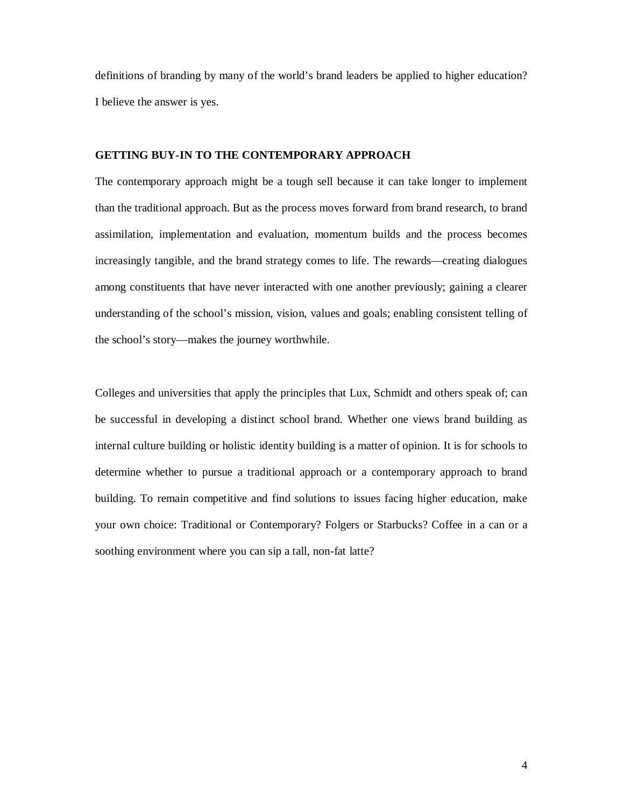definitions of branding by many of the world's brand leaders be applied to higher education? I believe the answer is yes.

## **GETTING BUY-IN TO THE CONTEMPORARY APPROACH**

The contemporary approach might be a tough sell because it can take longer to implement than the traditional approach. But as the process moves forward from brand research, to brand assimilation, implementation and evaluation, momentum builds and the process becomes increasingly tangible, and the brand strategy comes to life. The rewards—creating dialogues among constituents that have never interacted with one another previously; gaining a clearer understanding of the school's mission, vision, values and goals; enabling consistent telling of the school's story—makes the journey worthwhile.

Colleges and universities that apply the principles that Lux, Schmidt and others speak of; can be successful in developing a distinct school brand. Whether one views brand building as internal culture building or holistic identity building is a matter of opinion. It is for schools to determine whether to pursue a traditional approach or a contemporary approach to brand building. To remain competitive and find solutions to issues facing higher education, make your own choice: Traditional or Contemporary? Folgers or Starbucks? Coffee in a can or a soothing environment where you can sip a tall, non-fat latte?